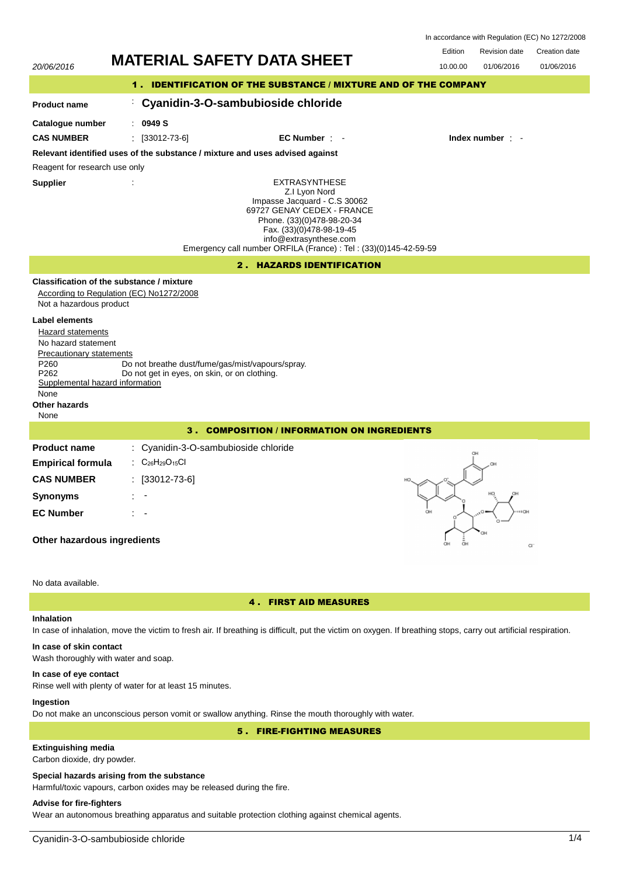| In accordance with Regulation (EC) No 1272/2008 |  |  |  |
|-------------------------------------------------|--|--|--|
|-------------------------------------------------|--|--|--|

Edition Revision date Creation date 20/06/2016 **MATERIAL SAFETY DATA SHEET** 10.00.00 01/06/2016 01/06/2016 1 . IDENTIFICATION OF THE SUBSTANCE / MIXTURE AND OF THE COMPANY : **Cyanidin-3-O-sambubioside chloride Product name Catalogue number** : **0949 S CAS NUMBER** : [33012-73-6] **EC Number** : - **Index number** : - **Relevant identified uses of the substance / mixture and uses advised against** Reagent for research use only **Supplier** : EXTRASYNTHESE Z.I Lyon Nord Impasse Jacquard - C.S 30062 69727 GENAY CEDEX - FRANCE Phone. (33)(0)478-98-20-34 Fax. (33)(0)478-98-19-45 info@extrasynthese.com Emergency call number ORFILA (France) : Tel : (33)(0)145-42-59-59 2 . HAZARDS IDENTIFICATION **Classification of the substance / mixture** According to Regulation (EC) No1272/2008 Not a hazardous product **Label elements** Hazard statements No hazard statement Precautionary statements P260 Do not breathe dust/fume/gas/mist/vapours/spray.<br>P262 Do not get in eves, on skin, or on clothing. Do not get in eyes, on skin, or on clothing. Supplemental hazard information None **Other hazards** None 3 . COMPOSITION / INFORMATION ON INGREDIENTS **Product name** : Cyanidin-3-O-sambubioside chloride **Empirical formula** : C<sub>26</sub>H<sub>29</sub>O<sub>15</sub>Cl **CAS NUMBER** : [33012-73-6] **Synonyms** : - **EC Number** : - **Other hazardous ingredients**  $\sim$ 

### No data available.

### 4 . FIRST AID MEASURES

## **Inhalation**

In case of inhalation, move the victim to fresh air. If breathing is difficult, put the victim on oxygen. If breathing stops, carry out artificial respiration.

# **In case of skin contact**

Wash thoroughly with water and soap.

### **In case of eye contact**

Rinse well with plenty of water for at least 15 minutes.

### **Ingestion**

Do not make an unconscious person vomit or swallow anything. Rinse the mouth thoroughly with water.

## 5 . FIRE-FIGHTING MEASURES

## **Extinguishing media**

Carbon dioxide, dry powder.

### **Special hazards arising from the substance**

Harmful/toxic vapours, carbon oxides may be released during the fire.

## **Advise for fire-fighters**

Wear an autonomous breathing apparatus and suitable protection clothing against chemical agents.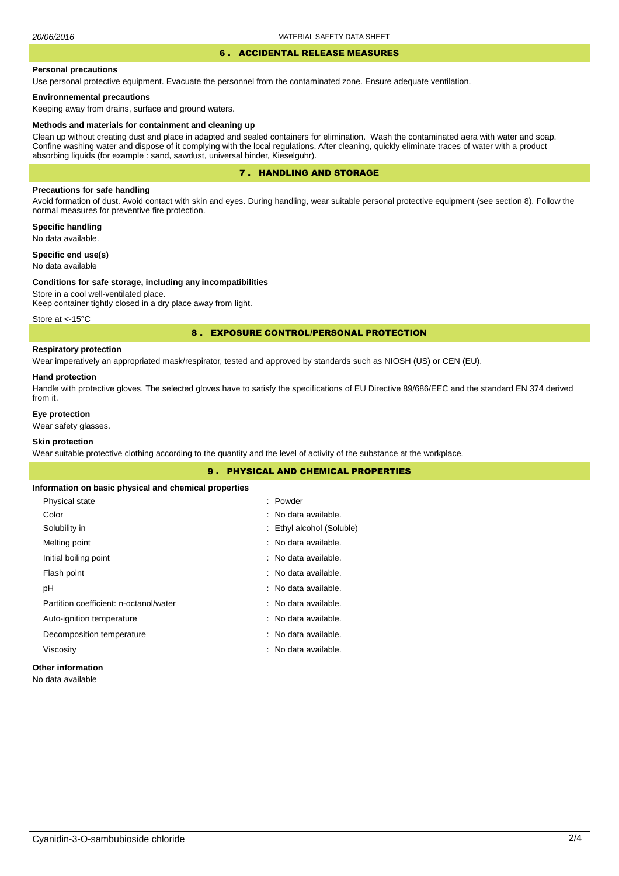## 6 . ACCIDENTAL RELEASE MEASURES

### **Personal precautions**

Use personal protective equipment. Evacuate the personnel from the contaminated zone. Ensure adequate ventilation.

#### **Environnemental precautions**

Keeping away from drains, surface and ground waters.

#### **Methods and materials for containment and cleaning up**

Clean up without creating dust and place in adapted and sealed containers for elimination. Wash the contaminated aera with water and soap. Confine washing water and dispose of it complying with the local regulations. After cleaning, quickly eliminate traces of water with a product absorbing liquids (for example : sand, sawdust, universal binder, Kieselguhr).

### 7 . HANDLING AND STORAGE

### **Precautions for safe handling**

Avoid formation of dust. Avoid contact with skin and eyes. During handling, wear suitable personal protective equipment (see section 8). Follow the normal measures for preventive fire protection.

**Specific handling** No data available.

**Specific end use(s)**

## No data available

#### **Conditions for safe storage, including any incompatibilities**

Store in a cool well-ventilated place. Keep container tightly closed in a dry place away from light.

Store at <- 15°C

### 8 . EXPOSURE CONTROL/PERSONAL PROTECTION

### **Respiratory protection**

Wear imperatively an appropriated mask/respirator, tested and approved by standards such as NIOSH (US) or CEN (EU).

### **Hand protection**

Handle with protective gloves. The selected gloves have to satisfy the specifications of EU Directive 89/686/EEC and the standard EN 374 derived from it.

### **Eye protection**

Wear safety glasses.

## **Skin protection**

Wear suitable protective clothing according to the quantity and the level of activity of the substance at the workplace.

|                                                       | <b>9. PHYSICAL AND CHEMICAL PROPERTIES</b> |  |
|-------------------------------------------------------|--------------------------------------------|--|
| Information on basic physical and chemical properties |                                            |  |
| Physical state                                        | : Powder                                   |  |
| Color                                                 | : No data available.                       |  |
| Solubility in                                         | : Ethyl alcohol (Soluble)                  |  |
| Melting point                                         | : No data available.                       |  |
| Initial boiling point                                 | : No data available.                       |  |
| Flash point                                           | : No data available.                       |  |
| рH                                                    | : No data available.                       |  |
| Partition coefficient: n-octanol/water                | : No data available.                       |  |
| Auto-ignition temperature                             | : No data available.                       |  |
| Decomposition temperature                             | : No data available.                       |  |
| Viscosity                                             | : No data available.                       |  |
| <b>Other information</b>                              |                                            |  |

No data available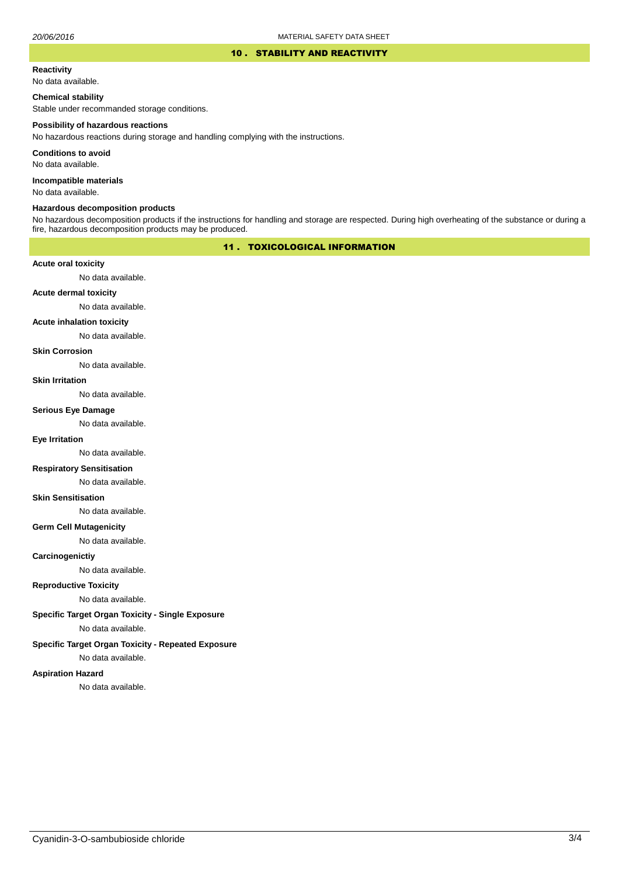### 10 . STABILITY AND REACTIVITY

### **Reactivity**

No data available.

### **Chemical stability**

Stable under recommanded storage conditions.

#### **Possibility of hazardous reactions**

No hazardous reactions during storage and handling complying with the instructions.

**Conditions to avoid**

No data available.

**Incompatible materials**

No data available.

### **Hazardous decomposition products**

No hazardous decomposition products if the instructions for handling and storage are respected. During high overheating of the substance or during a fire, hazardous decomposition products may be produced.

## 11 . TOXICOLOGICAL INFORMATION

### **Acute oral toxicity**

No data available.

## **Acute dermal toxicity**

No data available.

### **Acute inhalation toxicity**

No data available.

### **Skin Corrosion**

No data available.

#### **Skin Irritation**

No data available.

### **Serious Eye Damage**

No data available.

## **Eye Irritation**

No data available.

### **Respiratory Sensitisation**

No data available.

### **Skin Sensitisation**

No data available.

### **Germ Cell Mutagenicity**

No data available.

### **Carcinogenictiy**

No data available.

## **Reproductive Toxicity**

No data available.

## **Specific Target Organ Toxicity - Single Exposure**

No data available.

### **Specific Target Organ Toxicity - Repeated Exposure**

No data available.

### **Aspiration Hazard**

No data available.